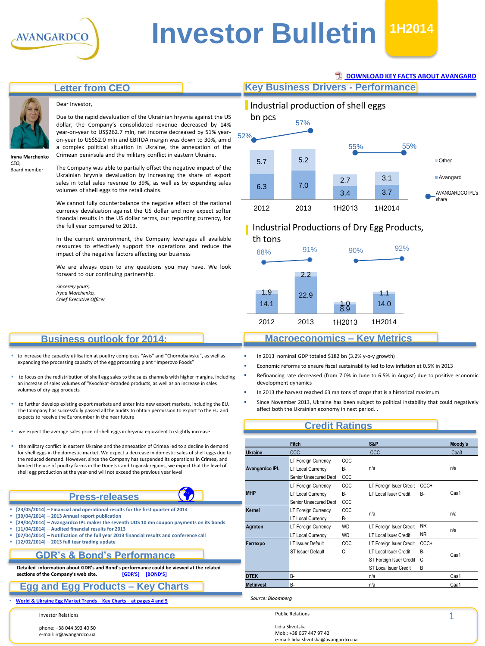

# **Investor Bulletin 1H2014**

# **Letter from CEO**



#### Dear Investor,

Due to the rapid devaluation of the Ukrainian hryvnia against the US dollar, the Company's consolidated revenue decreased by 14% year-on-year to US\$262.7 mln, net income decreased by 51% yearon-year to US\$52.0 mln and EBITDA margin was down to 30%, amid a complex political situation in Ukraine, the annexation of the Crimean peninsula and the military conflict in eastern Ukraine.

**Iryna Marchenko** *CEO,* Board member

The Company was able to partially offset the negative impact of the Ukrainian hryvnia devaluation by increasing the share of export sales in total sales revenue to 39%, as well as by expanding sales volumes of shell eggs to the retail chains.

We cannot fully counterbalance the negative effect of the national currency devaluation against the US dollar and now expect softer financial results in the US dollar terms, our reporting currency, for the full year compared to 2013.

In the current environment, the Company leverages all available resources to effectively support the operations and reduce the impact of the negative factors affecting our business

We are always open to any questions you may have. We look forward to our continuing partnership.

*Sincerely yours, Iryna Marchenko, Chief Executive Officer*

#### **Business outlook for 2014:**

- to increase the capacity utilisation at poultry complexes "Avis" and "Chornobaivske", as well as expanding the processing capacity of the egg processing plant "Imperovo Foods"
- to focus on the redistribution of shell egg sales to the sales channels with higher margins, including an increase of sales volumes of "Kvochka"-branded products, as well as an increase in sales volumes of dry egg products
- to further develop existing export markets and enter into new export markets, including the EU. The Company has successfully passed all the audits to obtain permission to export to the EU and expects to receive the Euronumber in the near future
- we expect the average sales price of shell eggs in hryvnia equivalent to slightly increase
- the military conflict in eastern Ukraine and the annexation of Crimea led to a decline in demand for shell eggs in the domestic market. We expect a decrease in domestic sales of shell eggs due to the reduced demand. However, since the Company has suspended its operations in Crimea, and limited the use of poultry farms in the Donetsk and Lugansk regions, we expect that the level of shell egg production at the year-end will not exceed the previous year level

#### **Press-releases**

**[23/05/2014] – Financial and operational results for the first quarter of 2014**

 $\bigcirc$ 

- **[30/04/2014] – 2013 Annual report publication**
- **[29/04/2014] – Avangardco IPL makes the seventh UDS 10 mn coupon payments on its bonds**
- **[11/04/2014] – Audited financial results for 2013**
- **[07/04/2014] – Notification of the full year 2013 financial results and conference call**
- **[12/02/2014] – 2013 full tear trading update**

#### **GDR's & Bond's Performance**

**Detailed information about GDR's and Bond's performance could be viewed at the related**   $s$  **sections of the Company's web site.** 

#### **Egg and Egg Products – Key Charts**

• **World & [Ukraine](#page-3-0) Egg Market Trends – Key Charts – at pages 4 and 5**

Investor Relations

phone: +38 044 393 40 50 e-mail: ir@avangardco.ua

#### **[DOWNLOAD KEY FACTS ABOUT AVANGARD](http://www.avangard.co.ua/eng/for-investors/financial-overview/key_files/)**

**Key Business Drivers - Performance**



# Industrial Productions of Dry Egg Products,



# **Macroeconomics – Key Metrics**

- In 2013 nominal GDP totaled \$182 bn (3.2% y-o-y growth)
- Economic reforms to ensure fiscal sustainability led to low inflation at 0.5% in 2013
- Refinancing rate decreased (from 7.0% in June to 6.5% in August) due to positive economic development dynamics
- In 2013 the harvest reached 63 mn tons of crops that is a historical maximum
- Since November 2013, Ukraine has been subject to political instability that could negatively affect both the Ukrainian economy in next period. .

#### **Credit Ratings**

|  |                       | <b>Fitch</b>             |           | S&P                          |         | Moody's          |  |
|--|-----------------------|--------------------------|-----------|------------------------------|---------|------------------|--|
|  | <b>Ukraine</b>        | <b>CCC</b>               |           | <b>CCC</b>                   |         | Caa <sub>3</sub> |  |
|  |                       | LT Foreign Currency      | CCC       |                              |         |                  |  |
|  | <b>Avangardco IPL</b> | <b>LT Local Currency</b> | В-        | n/a                          |         | n/a              |  |
|  |                       | Senior Unsecured Debt    | CCC       |                              |         |                  |  |
|  | <b>MHP</b>            | LT Foreign Currency      | CCC       | LT Foreign Isuer Credit      | CCC+    |                  |  |
|  |                       | <b>LT Local Currency</b> | В-        | LT Local Isuer Credit        | В-      | Caa1             |  |
|  |                       | Senior Unsecured Debt    | CCC       |                              |         |                  |  |
|  | Kernel                | LT Foreign Currency      | CCC       | n/a                          |         | n/a              |  |
|  |                       | <b>LT Local Currency</b> | В-        |                              |         |                  |  |
|  | Agroton               | LT Foreign Currency      | <b>WD</b> | LT Foreign Isuer Credit      | NR      | n/a              |  |
|  |                       | <b>LT Local Currency</b> | <b>WD</b> | LT Local Isuer Credit        | NR      |                  |  |
|  | Ferrexpo              | LT Issuer Default        | CCC       | LT Foreign Isuer Credit      | $CCC +$ |                  |  |
|  |                       | ST Issuer Default        | Ċ         | <b>LT Local Isuer Credit</b> | В-      | Caa1             |  |
|  |                       |                          |           | ST Foreign Isuer Credit      | C       |                  |  |
|  |                       |                          |           | ST Local Isuer Credit        | В       |                  |  |
|  | <b>DTEK</b>           | B-                       |           | n/a                          |         | Caa1             |  |
|  | <b>Metinvest</b>      | B-                       |           | n/a                          |         | Caa1             |  |

*Source: Bloomberg*

Public Relations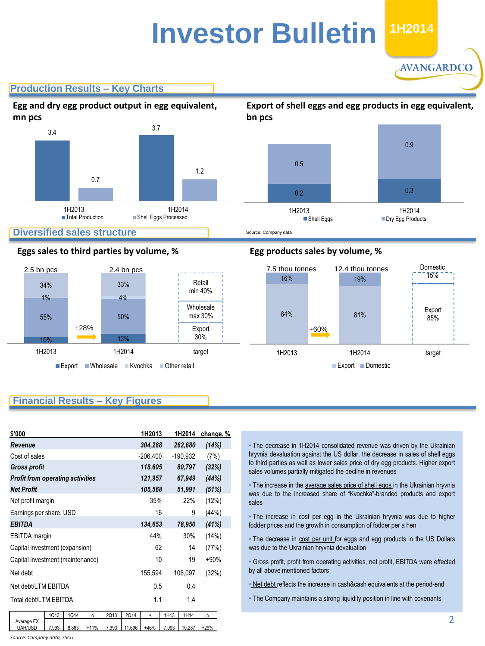# **Investor Bulletin 2011 1H2014**

**AVANGARDCO** 

# **Production Results – Key Charts**



#### **Eggs sales to third parties by volume, %**



# **Egg products sales by volume, %**



## **Financial Results – Key Figures**

| \$'000                                  |       |       |        |       | 1H2013  |            | 1H2014  | change, %  |        |  |
|-----------------------------------------|-------|-------|--------|-------|---------|------------|---------|------------|--------|--|
| Revenue                                 |       |       |        |       |         | 304,288    |         | 262,680    | (14%)  |  |
| Cost of sales                           |       |       |        |       |         | $-206,400$ |         | $-190,932$ | (7%)   |  |
| <b>Gross profit</b>                     |       |       |        |       | 118,605 |            | 80,797  | (32%)      |        |  |
| <b>Profit from operating activities</b> |       |       |        |       | 121,957 |            | 67,949  | (44%)      |        |  |
| <b>Net Profit</b>                       |       |       |        |       | 105,568 |            | 51,991  | (51%)      |        |  |
| Net profit margin                       |       |       |        |       | 35%     |            | 22%     | (12%)      |        |  |
| Earnings per share, USD                 |       |       |        |       | 16      |            | 9       | (44%)      |        |  |
| <b>EBITDA</b>                           |       |       |        |       | 134,653 |            | 78,950  | (41%)      |        |  |
| EBITDA margin                           |       |       |        |       | 44%     |            | 30%     | (14%)      |        |  |
| Capital investment (expansion)          |       |       |        |       | 62      |            | 14      | (77%)      |        |  |
| 10<br>Capital investment (maintenance)  |       |       |        | 19    | $+90%$  |            |         |            |        |  |
| Net debt                                |       |       |        |       | 155,594 |            | 106,097 | (32%)      |        |  |
| Net debt/LTM EBITDA                     |       |       |        |       |         | 0.5        |         | 0.4        |        |  |
| Total debt/LTM EBITDA                   |       |       |        | 1.1   |         | 1.4        |         |            |        |  |
|                                         | 1Q13  | 1Q14  | Δ      | 2Q13  | 2Q14    | Δ          | 1H13    | 1H14       | Δ      |  |
| Average FX<br><b>UAH/USD</b>            | 7.993 | 8.863 | $+11%$ | 7.993 | 11.696  | $+46%$     | 7.993   | 10.287     | $+29%$ |  |

*Source: Company data, SSCU*

• The decrease in 1H2014 consolidated revenue was driven by the Ukrainian hryvnia devaluation against the US dollar, the decrease in sales of shell eggs to third parties as well as lower sales price of dry egg products. Higher export sales volumes partially mitigated the decline in revenues

• The increase in the average sales price of shell eggs in the Ukrainian hryvnia was due to the increased share of "Kvochka"-branded products and export sales

• The increase in cost per egg in the Ukrainian hryvnia was due to higher fodder prices and the growth in consumption of fodder per a hen

• The decrease in cost per unit for eggs and egg products in the US Dollars was due to the Ukrainian hryvnia devaluation

• Gross profit, profit from operating activities, net profit, EBITDA were effected by all above mentioned factors

• Net debt reflects the increase in cash&cash equivalents at the period-end

• The Company maintains a strong liquidity position in line with covenants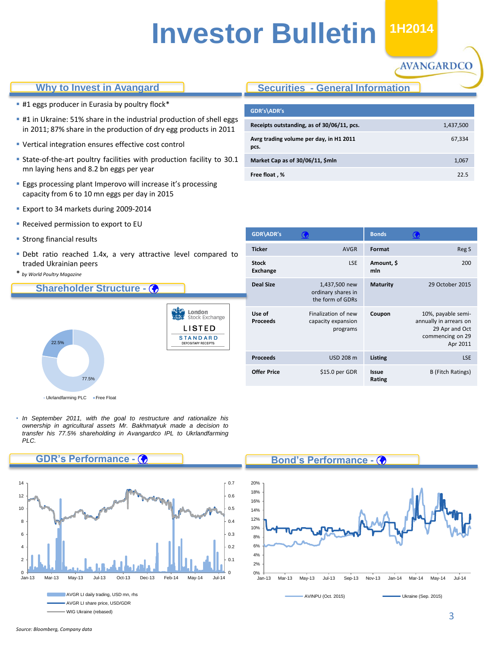# **Investor Bulletin H1 1H2014**

#### **Why to Invest in Avangard**

- **#1 eggs producer in Eurasia by poultry flock\***
- **#1** in Ukraine: 51% share in the industrial production of shell eggs in 2011; 87% share in the production of dry egg products in 2011
- Vertical integration ensures effective cost control
- State-of-the-art poultry facilities with production facility to 30.1 mn laying hens and 8.2 bn eggs per year
- **Eggs processing plant Imperovo will increase it's processing** capacity from 6 to 10 mn eggs per day in 2015
- **Export to 34 markets during 2009-2014**
- **Received permission to export to EU**
- **Strong financial results**
- Debt ratio reached 1.4x, a very attractive level compared to traded Ukrainian peers
- \* *by World Poultry Magazine*

#### **Shareholder Structure -**



• Ukrlandfarming PLC Free Float

**GDR's Performance -**

• *In September 2011, with the goal to restructure and rationalize his ownership in agricultural assets Mr. Bakhmatyuk made a decision to transfer his 77.5% shareholding in Avangardco IPL to Ukrlandfarming PLC.*



WIG Ukraine (rebased)

# **Securities - General Information**

| GDR's\ADR's                                     |           |
|-------------------------------------------------|-----------|
| Receipts outstanding, as of 30/06/11, pcs.      | 1,437,500 |
| Avrg trading volume per day, in H1 2011<br>pcs. | 67,334    |
| Market Cap as of 30/06/11, \$mln                | 1,067     |
| Free float, %                                   | 22.5      |

**AVANGARDCO** 

| GDR\ADR's                       | $\mathbf G$                                             | <b>Bonds</b>      |                                                                                                |
|---------------------------------|---------------------------------------------------------|-------------------|------------------------------------------------------------------------------------------------|
| <b>Ticker</b>                   | <b>AVGR</b>                                             | Format            | Reg S                                                                                          |
| <b>Stock</b><br><b>Exchange</b> | <b>LSE</b>                                              | Amount, \$<br>mln | 200                                                                                            |
| <b>Deal Size</b>                | 1,437,500 new<br>ordinary shares in<br>the form of GDRs | <b>Maturity</b>   | 29 October 2015                                                                                |
| Use of<br><b>Proceeds</b>       | Finalization of new<br>capacity expansion<br>programs   | Coupon            | 10%, payable semi-<br>annually in arrears on<br>29 Apr and Oct<br>commencing on 29<br>Apr 2011 |
| <b>Proceeds</b>                 | <b>USD 208 m</b>                                        | Listing           | <b>LSE</b>                                                                                     |
| <b>Offer Price</b>              | \$15.0 per GDR                                          | Issue<br>Rating   | <b>B</b> (Fitch Ratings)                                                                       |

#### **Bond's Performance -**



## *Source: Bloomberg, Company data*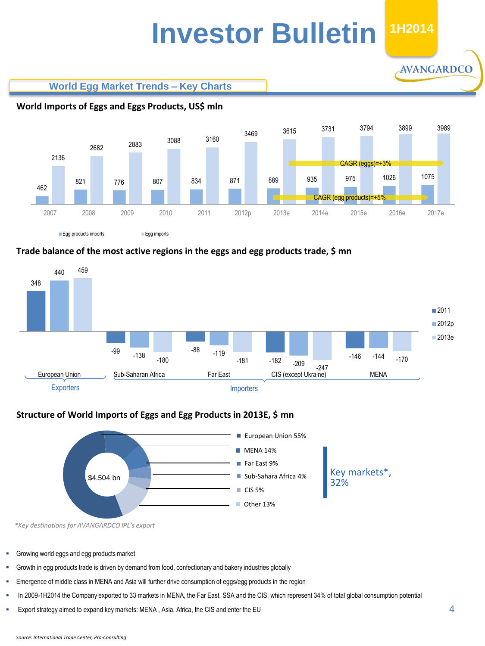# **Investor Bulletin 1H2014**

**AVANGARDCO** 





# **World Imports of Eggs and Eggs Products, US\$ mln**





## **Structure of World Imports of Eggs and Egg Products in 2013E, \$ mn**



*\*Key destinations for AVANGARDCO IPL's export*

- Growing world eggs and egg products market
- Growth in egg products trade is driven by demand from food, confectionary and bakery industries globally
- Emergence of middle class in MENA and Asia will further drive consumption of eggs/egg products in the region
- In 2009-1H2014 the Company exported to 33 markets in MENA, the Far East, SSA and the CIS, which represent 34% of total global consumption potential
- <span id="page-3-0"></span>Export strategy aimed to expand key markets: MENA , Asia, Africa, the CIS and enter the EU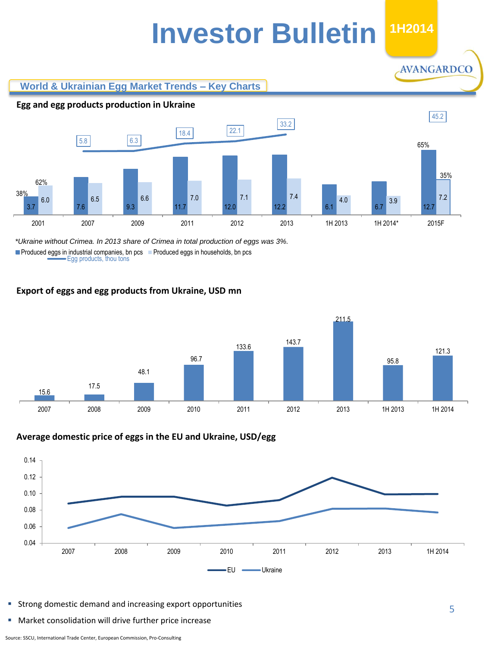# **Investor Bulletin 1H2014**

## **World & Ukrainian Egg Market Trends – Key Charts**



### $5.8$  6.3 18.4 22.1 33.2 45.2 3.7 7.6 9.3 11.7 12.0 12.2 6.1 6.7 12.7 6.0 6.5 6.6 7.1 7.1 7.4 4.0 5.3.9  $\frac{1}{2}$  7.2 2001 2007 2009 2011 2012 2013 1H 2013 1H 2014\* 2015F 38% 62% 65% 35% **Egg and egg products production in Ukraine**

Egg products, thou tons **Produced eggs in industrial companies, bn pcs** Produced eggs in households, bn pcs *\*Ukraine without Crimea. In 2013 share of Crimea in total production of eggs was 3%.*

# **Export of eggs and egg products from Ukraine, USD mn**



## **Average domestic price of eggs in the EU and Ukraine, USD/egg**



- Strong domestic demand and increasing export opportunities
- Market consolidation will drive further price increase